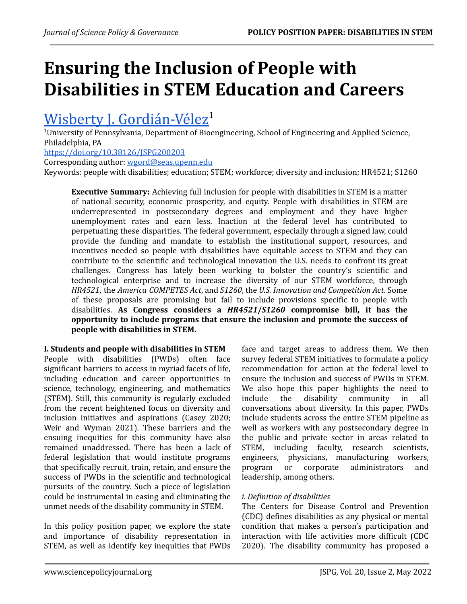# **Ensuring the Inclusion of People with Disabilities in STEM Education and Careers**

# Wisberty J. [Gordián-Vélez](https://orcid.org/0000-0001-5523-6609)<sup>1</sup>

 $1$ University of Pennsylvania, Department of Bioengineering, School of Engineering and Applied Science, Philadelphia, PA

<https://doi.org/10.38126/JSPG200203>

Corresponding author: [wgord@seas.upenn.edu](mailto:wgord@seas.upenn.edu)

Keywords: people with disabilities; education; STEM; workforce; diversity and inclusion; HR4521; S1260

**Executive Summary:** Achieving full inclusion for people with disabilities in STEM is a matter of national security, economic prosperity, and equity. People with disabilities in STEM are underrepresented in postsecondary degrees and employment and they have higher unemployment rates and earn less. Inaction at the federal level has contributed to perpetuating these disparities. The federal government, especially through a signed law, could provide the funding and mandate to establish the institutional support, resources, and incentives needed so people with disabilities have equitable access to STEM and they can contribute to the scientific and technological innovation the U.S. needs to confront its great challenges. Congress has lately been working to bolster the country's scientific and technological enterprise and to increase the diversity of our STEM workforce, through *HR4521*, the *America COMPETES Act*, and *S1260*, the *U.S. Innovation and Competition Act*. Some of these proposals are promising but fail to include provisions specific to people with disabilities. **As Congress considers a** *HR4521***/***S1260* **compromise bill, it has the opportunity to include programs that ensure the inclusion and promote the success of people with disabilities in STEM.**

**I. Students and people with disabilities in STEM** People with disabilities (PWDs) often face significant barriers to access in myriad facets of life, including education and career opportunities in science, technology, engineering, and mathematics (STEM). Still, this community is regularly excluded from the recent heightened focus on diversity and inclusion initiatives and aspirations ([Casey](#page-6-0) 2020; Weir and [Wyman](#page-9-0) 2021). These barriers and the ensuing inequities for this community have also remained unaddressed. There has been a lack of federal legislation that would institute programs that specifically recruit, train, retain, and ensure the success of PWDs in the scientific and technological pursuits of the country. Such a piece of legislation could be instrumental in easing and eliminating the unmet needs of the disability community in STEM.

In this policy position paper, we explore the state and importance of disability representation in STEM, as well as identify key inequities that PWDs

face and target areas to address them. We then survey federal STEM initiatives to formulate a policy recommendation for action at the federal level to ensure the inclusion and success of PWDs in STEM. We also hope this paper highlights the need to include the disability community in all conversations about diversity. In this paper, PWDs include students across the entire STEM pipeline as well as workers with any postsecondary degree in the public and private sector in areas related to STEM, including faculty, research scientists, engineers, physicians, manufacturing workers, program or corporate administrators and leadership, among others.

# *i. Definition of disabilities*

The Centers for Disease Control and Prevention (CDC) defines disabilities as any physical or mental condition that makes a person's participation and interaction with life activities more difficult [\(CDC](#page-6-1) [2020](#page-6-1)). The disability community has proposed a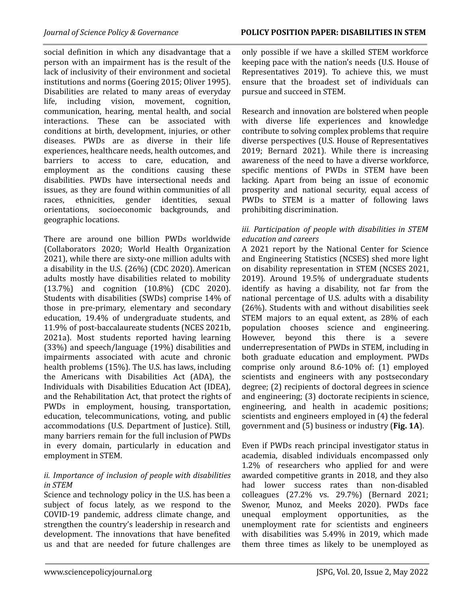social definition in which any disadvantage that a person with an impairment has is the result of the lack of inclusivity of their environment and societal institutions and norms ([Goering](#page-7-0) 2015; [Oliver](#page-8-0) 1995). Disabilities are related to many areas of everyday life, including vision, movement, cognition, communication, hearing, mental health, and social interactions. These can be associated with conditions at birth, development, injuries, or other diseases. PWDs are as diverse in their life experiences, healthcare needs, health outcomes, and barriers to access to care, education, and employment as the conditions causing these disabilities. PWDs have intersectional needs and issues, as they are found within communities of all races, ethnicities, gender identities, sexual orientations, socioeconomic backgrounds, and geographic locations.

There are around one billion PWDs worldwide ([Collaborators](#page-6-2) 2020; World Health [Organization](#page-9-1) [2021\)](#page-9-1), while there are sixty-one million adults with a disability in the U.S. (26%) (CDC [2020](#page-6-1)). American adults mostly have disabilities related to mobility (13.7%) and cognition (10.8%) (CDC [2020\)](#page-6-1). Students with disabilities (SWDs) comprise 14% of those in pre-primary, elementary and secondary education, 19.4% of undergraduate students, and 11.9% of post-baccalaureate students (NCES [2021b](#page-8-1), [2021a](#page-8-2)). Most students reported having learning (33%) and speech/language (19%) disabilities and impairments associated with acute and chronic health problems (15%). The U.S. has laws, including the Americans with Disabilities Act (ADA), the Individuals with Disabilities Education Act (IDEA), and the Rehabilitation Act, that protect the rights of PWDs in employment, housing, transportation, education, telecommunications, voting, and public accommodations (U.S. [Department](#page-9-2) of Justice). Still, many barriers remain for the full inclusion of PWDs in every domain, particularly in education and employment in STEM.

# *ii. Importance of inclusion of people with disabilities in STEM*

Science and technology policy in the U.S. has been a subject of focus lately, as we respond to the COVID-19 pandemic, address climate change, and strengthen the country's leadership in research and development. The innovations that have benefited us and that are needed for future challenges are only possible if we have a skilled STEM workforce keeping pace with the nation's needs (U.S. [House](#page-9-3) of [Representatives](#page-9-3) 2019). To achieve this, we must ensure that the broadest set of individuals can pursue and succeed in STEM.

Research and innovation are bolstered when people with diverse life experiences and knowledge contribute to solving complex problems that require diverse perspectives (U.S. House of [Representatives](#page-9-3) [2019](#page-9-3); [Bernard](#page-6-3) 2021). While there is increasing awareness of the need to have a diverse workforce, specific mentions of PWDs in STEM have been lacking. Apart from being an issue of economic prosperity and national security, equal access of PWDs to STEM is a matter of following laws prohibiting discrimination.

#### *iii. Participation of people with disabilities in STEM education and careers*

A 2021 report by the National Center for Science and Engineering Statistics (NCSES) shed more light on disability representation in STEM ([NCSES](#page-8-3) 2021, [2019](#page-8-4)). Around 19.5% of undergraduate students identify as having a disability, not far from the national percentage of U.S. adults with a disability (26%). Students with and without disabilities seek STEM majors to an equal extent, as 28% of each population chooses science and engineering. However, beyond this there is a severe underrepresentation of PWDs in STEM, including in both graduate education and employment. PWDs comprise only around 8.6-10% of: (1) employed scientists and engineers with any postsecondary degree; (2) recipients of doctoral degrees in science and engineering; (3) doctorate recipients in science, engineering, and health in academic positions; scientists and engineers employed in (4) the federal government and (5) business or industry (**Fig. 1A**).

Even if PWDs reach principal investigator status in academia, disabled individuals encompassed only 1.2% of researchers who applied for and were awarded competitive grants in 2018, and they also had lower success rates than non-disabled colleagues (27.2% vs. 29.7%) ([Bernard](#page-6-3) 2021; [Swenor,](#page-8-5) Munoz, and Meeks 2020). PWDs face unequal employment opportunities, as the unemployment rate for scientists and engineers with disabilities was 5.49% in 2019, which made them three times as likely to be unemployed as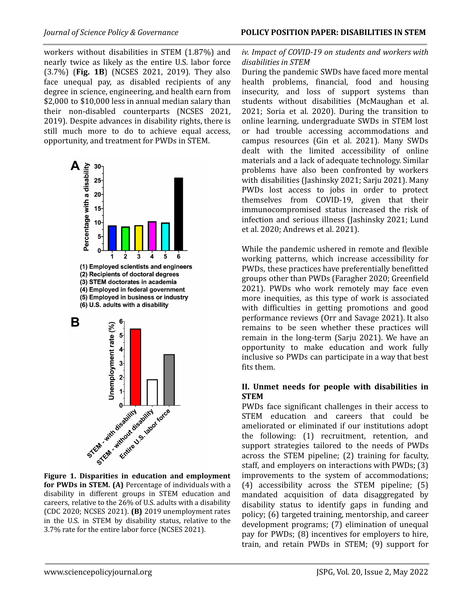workers without disabilities in STEM (1.87%) and nearly twice as likely as the entire U.S. labor force (3.7%) (**Fig. 1B**) ([NCSES](#page-8-3) 2021, [2019](#page-8-4)). They also face unequal pay, as disabled recipients of any degree in science, engineering, and health earn from \$2,000 to \$10,000 less in annual median salary than their non-disabled counterparts ([NCSES](#page-8-3) 2021, [2019\)](#page-8-4). Despite advances in disability rights, there is still much more to do to achieve equal access, opportunity, and treatment for PWDs in STEM.







**for PWDs in STEM. (A)** Percentage of individuals with a disability in different groups in STEM education and careers, relative to the 26% of U.S. adults with a disability (CDC [2020](#page-6-1); [NCSES](#page-8-3) 2021). **(B)** 2019 unemployment rates in the U.S. in STEM by disability status, relative to the 3.7% rate for the entire labor force [\(NCSES](#page-8-3) 2021).

# *iv. Impact of COVID-19 on students and workers with disabilities in STEM*

During the pandemic SWDs have faced more mental health problems, financial, food and housing insecurity, and loss of support systems than students without disabilities ([McMaughan](#page-7-1) et al. [2021](#page-7-1); Soria et al. [2020\)](#page-8-6). During the transition to online learning, undergraduate SWDs in STEM lost or had trouble accessing accommodations and campus resources (Gin et al. 2021). Many SWDs dealt with the limited accessibility of online materials and a lack of adequate technology. Similar problems have also been confronted by workers with disabilities [\(Jashinsky](#page-7-2) 2021; [Sarju](#page-8-7) 2021). Many PWDs lost access to jobs in order to protect themselves from COVID-19, given that their immunocompromised status increased the risk of infection and serious illness [\(Jashinsky](#page-7-2) 2021; [Lund](#page-7-3) et al. [2020;](#page-7-3) [Andrews](#page-6-4) et al. 2021).

While the pandemic ushered in remote and flexible working patterns, which increase accessibility for PWDs, these practices have preferentially benefitted groups other than PWDs [\(Faragher](#page-7-4) 2020; [Greenfield](#page-7-5) [2021](#page-7-5)). PWDs who work remotely may face even more inequities, as this type of work is associated with difficulties in getting promotions and good performance reviews (Orr and [Savage](#page-8-8) 2021). It also remains to be seen whether these practices will remain in the long-term (Sarju [2021\)](#page-8-7). We have an opportunity to make education and work fully inclusive so PWDs can participate in a way that best fits them.

# **II. Unmet needs for people with disabilities in STEM**

PWDs face significant challenges in their access to STEM education and careers that could be ameliorated or eliminated if our institutions adopt the following: (1) recruitment, retention, and support strategies tailored to the needs of PWDs across the STEM pipeline; (2) training for faculty, staff, and employers on interactions with PWDs; (3) improvements to the system of accommodations; (4) accessibility across the STEM pipeline; (5) mandated acquisition of data disaggregated by disability status to identify gaps in funding and policy; (6) targeted training, mentorship, and career development programs; (7) elimination of unequal pay for PWDs; (8) incentives for employers to hire, train, and retain PWDs in STEM; (9) support for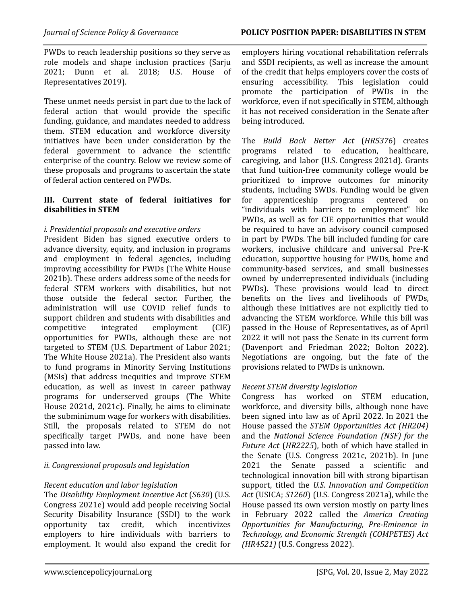PWDs to reach leadership positions so they serve as role models and shape inclusion practices [\(Sarju](#page-8-7) [2021;](#page-8-7) [Dunn](#page-7-6) et al. 2018; U.S. [House](#page-9-3) of [Representatives](#page-9-3) 2019).

These unmet needs persist in part due to the lack of federal action that would provide the specific funding, guidance, and mandates needed to address them. STEM education and workforce diversity initiatives have been under consideration by the federal government to advance the scientific enterprise of the country. Below we review some of these proposals and programs to ascertain the state of federal action centered on PWDs.

#### **III. Current state of federal initiatives for disabilities in STEM**

# *i. Presidential proposals and executive orders*

President Biden has signed executive orders to advance diversity, equity, and inclusion in programs and employment in federal agencies, including improving accessibility for PWDs (The White [House](#page-8-9) [2021b\)](#page-8-9). These orders address some of the needs for federal STEM workers with disabilities, but not those outside the federal sector. Further, the administration will use COVID relief funds to support children and students with disabilities and competitive integrated employment (CIE) opportunities for PWDs, although these are not targeted to STEM (U.S. [Department](#page-9-4) of Labor 2021; The White House 2021a). The President also wants to fund programs in Minority Serving Institutions (MSIs) that address inequities and improve STEM education, as well as invest in career pathway programs for underserved groups (The [White](#page-9-5) House [2021d](#page-9-5), 2021c). Finally, he aims to eliminate the subminimum wage for workers with disabilities. Still, the proposals related to STEM do not specifically target PWDs, and none have been passed into law.

# *ii. Congressional proposals and legislation*

# *Recent education and labor legislation*

The *Disability Employment Incentive Act* (*S630*) ([U.S.](#page-9-6) [Congress](#page-9-6) 2021e) would add people receiving Social Security Disability Insurance (SSDI) to the work opportunity tax credit, which incentivizes employers to hire individuals with barriers to employment. It would also expand the credit for

employers hiring vocational rehabilitation referrals and SSDI recipients, as well as increase the amount of the credit that helps employers cover the costs of ensuring accessibility. This legislation could promote the participation of PWDs in the workforce, even if not specifically in STEM, although it has not received consideration in the Senate after being introduced.

The *Build Back Better Act* (*HR5376*) creates programs related to education, healthcare, caregiving, and labor (U.S. Congress 2021d). Grants that fund tuition-free community college would be prioritized to improve outcomes for minority students, including SWDs. Funding would be given for apprenticeship programs centered on "individuals with barriers to employment" like PWDs, as well as for CIE opportunities that would be required to have an advisory council composed in part by PWDs. The bill included funding for care workers, inclusive childcare and universal Pre-K education, supportive housing for PWDs, home and community-based services, and small businesses owned by underrepresented individuals (including PWDs). These provisions would lead to direct benefits on the lives and livelihoods of PWDs, although these initiatives are not explicitly tied to advancing the STEM workforce. While this bill was passed in the House of Representatives, as of April 2022 it will not pass the Senate in its current form [\(Davenport](#page-7-7) and Friedman 2022; Bolton 2022). Negotiations are ongoing, but the fate of the provisions related to PWDs is unknown.

# *Recent STEM diversity legislation*

Congress has worked on STEM education, workforce, and diversity bills, although none have been signed into law as of April 2022. In 2021 the House passed the *STEM Opportunities Act (HR204)* and the *National Science Foundation (NSF) for the Future Act* (*HR2225*), both of which have stalled in the Senate (U.S. [Congress](#page-9-7) 2021c, [2021b\)](#page-9-8). In June 2021 the Senate passed a scientific and technological innovation bill with strong bipartisan support, titled the *U.S. Innovation and Competition Act* (USICA; *S1260*) (U.S. [Congress](#page-9-9) 2021a), while the House passed its own version mostly on party lines in February 2022 called the *America Creating Opportunities for Manufacturing, Pre-Eminence in Technology, and Economic Strength (COMPETES) Act (HR4521)* (U.S. [Congress](#page-9-10) 2022).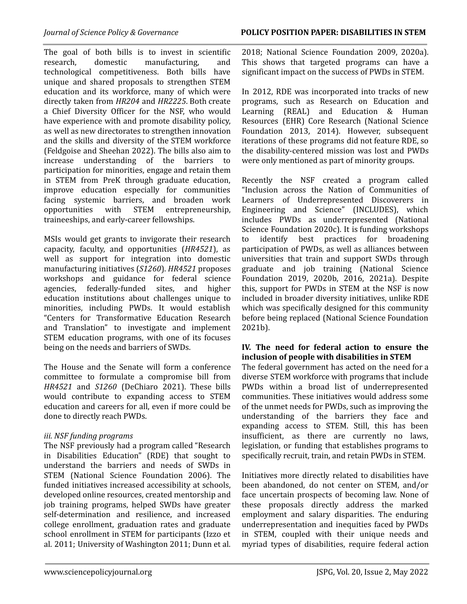The goal of both bills is to invest in scientific research, domestic manufacturing, and technological competitiveness. Both bills have unique and shared proposals to strengthen STEM education and its workforce, many of which were directly taken from *HR204* and *HR2225*. Both create a Chief Diversity Officer for the NSF, who would have experience with and promote disability policy, as well as new directorates to strengthen innovation and the skills and diversity of the STEM workforce ([Feldgoise](#page-7-8) and Sheehan 2022). The bills also aim to increase understanding of the barriers to participation for minorities, engage and retain them in STEM from PreK through graduate education, improve education especially for communities facing systemic barriers, and broaden work opportunities with STEM entrepreneurship, traineeships, and early-career fellowships.

MSIs would get grants to invigorate their research capacity, faculty, and opportunities (*HR4521*), as well as support for integration into domestic manufacturing initiatives (*S1260*). *HR4521* proposes workshops and guidance for federal science agencies, federally-funded sites, and higher education institutions about challenges unique to minorities, including PWDs. It would establish "Centers for Transformative Education Research and Translation" to investigate and implement STEM education programs, with one of its focuses being on the needs and barriers of SWDs.

The House and the Senate will form a conference committee to formulate a compromise bill from *HR4521* and *S1260* ([DeChiaro](#page-7-9) 2021). These bills would contribute to expanding access to STEM education and careers for all, even if more could be done to directly reach PWDs.

# *iii. NSF funding programs*

The NSF previously had a program called "Research in Disabilities Education" (RDE) that sought to understand the barriers and needs of SWDs in STEM (National Science [Foundation](#page-7-10) 2006). The funded initiatives increased accessibility at schools, developed online resources, created mentorship and job training programs, helped SWDs have greater self-determination and resilience, and increased college enrollment, graduation rates and graduate school enrollment in STEM for participants ([Izzo](#page-7-11) et al. [2011;](#page-7-11) University of [Washington](#page-9-11) 2011; [Dunn](#page-7-6) et al.

[2018](#page-7-6); National Science [Foundation](#page-7-12) 2009, [2020a\)](#page-8-10). This shows that targeted programs can have a significant impact on the success of PWDs in STEM.

In 2012, RDE was incorporated into tracks of new programs, such as Research on Education and Learning (REAL) and Education & Human Resources (EHR) Core Research [\(National](#page-7-13) Science [Foundation](#page-7-13) 2013, [2014](#page-7-14)). However, subsequent iterations of these programs did not feature RDE, so the disability-centered mission was lost and PWDs were only mentioned as part of minority groups.

Recently the NSF created a program called "Inclusion across the Nation of Communities of Learners of Underrepresented Discoverers in Engineering and Science" (INCLUDES), which includes PWDs as underrepresented [\(National](#page-8-11) Science [Foundation](#page-8-11) 2020c). It is funding workshops to identify best practices for broadening participation of PWDs, as well as alliances between universities that train and support SWDs through graduate and job training [\(National](#page-8-12) Science [Foundation](#page-8-12) 2019, [2020b,](#page-8-13) [2016](#page-8-14), [2021a](#page-8-15)). Despite this, support for PWDs in STEM at the NSF is now included in broader diversity initiatives, unlike RDE which was specifically designed for this community before being replaced (National Science Foundation 2021b).

#### **IV. The need for federal action to ensure the inclusion of people with disabilities in STEM**

The federal government has acted on the need for a diverse STEM workforce with programs that include PWDs within a broad list of underrepresented communities. These initiatives would address some of the unmet needs for PWDs, such as improving the understanding of the barriers they face and expanding access to STEM. Still, this has been insufficient, as there are currently no laws, legislation, or funding that establishes programs to specifically recruit, train, and retain PWDs in STEM.

Initiatives more directly related to disabilities have been abandoned, do not center on STEM, and/or face uncertain prospects of becoming law. None of these proposals directly address the marked employment and salary disparities. The enduring underrepresentation and inequities faced by PWDs in STEM, coupled with their unique needs and myriad types of disabilities, require federal action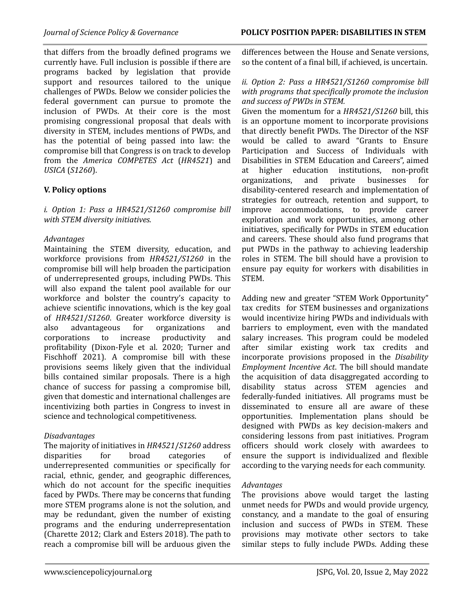that differs from the broadly defined programs we currently have. Full inclusion is possible if there are programs backed by legislation that provide support and resources tailored to the unique challenges of PWDs. Below we consider policies the federal government can pursue to promote the inclusion of PWDs. At their core is the most promising congressional proposal that deals with diversity in STEM, includes mentions of PWDs, and has the potential of being passed into law: the compromise bill that Congress is on track to develop from the *America COMPETES Act* (*HR4521*) and *USICA* (*S1260*).

# **V. Policy options**

*i. Option 1: Pass a HR4521/S1260 compromise bill with STEM diversity initiatives.*

#### *Advantages*

Maintaining the STEM diversity, education, and workforce provisions from *HR4521/S1260* in the compromise bill will help broaden the participation of underrepresented groups, including PWDs. This will also expand the talent pool available for our workforce and bolster the country's capacity to achieve scientific innovations, which is the key goal of *HR4521*/*S1260*. Greater workforce diversity is also advantageous for organizations and corporations to increase productivity and profitability [\(Dixon-Fyle](#page-7-15) et al. 2020; [Turner](#page-9-12) and [Fischhoff](#page-9-12) 2021). A compromise bill with these provisions seems likely given that the individual bills contained similar proposals. There is a high chance of success for passing a compromise bill, given that domestic and international challenges are incentivizing both parties in Congress to invest in science and technological competitiveness.

#### *Disadvantages*

The majority of initiatives in *HR4521*/*S1260* address disparities for broad categories of underrepresented communities or specifically for racial, ethnic, gender, and geographic differences, which do not account for the specific inequities faced by PWDs. There may be concerns that funding more STEM programs alone is not the solution, and may be redundant, given the number of existing programs and the enduring underrepresentation (Charette 2012; Clark and [Esters](#page-6-5) 2018). The path to reach a compromise bill will be arduous given the

differences between the House and Senate versions, so the content of a final bill, if achieved, is uncertain.

#### *ii. Option 2: Pass a HR4521/S1260 compromise bill with programs that specifically promote the inclusion and success of PWDs in STEM.*

Given the momentum for a *HR4521/S1260* bill, this is an opportune moment to incorporate provisions that directly benefit PWDs. The Director of the NSF would be called to award "Grants to Ensure Participation and Success of Individuals with Disabilities in STEM Education and Careers", aimed at higher education institutions, non-profit organizations, and private businesses for disability-centered research and implementation of strategies for outreach, retention and support, to improve accommodations, to provide career exploration and work opportunities, among other initiatives, specifically for PWDs in STEM education and careers. These should also fund programs that put PWDs in the pathway to achieving leadership roles in STEM. The bill should have a provision to ensure pay equity for workers with disabilities in STEM.

Adding new and greater "STEM Work Opportunity" tax credits for STEM businesses and organizations would incentivize hiring PWDs and individuals with barriers to employment, even with the mandated salary increases. This program could be modeled after similar existing work tax credits and incorporate provisions proposed in the *Disability Employment Incentive Act*. The bill should mandate the acquisition of data disaggregated according to disability status across STEM agencies and federally-funded initiatives. All programs must be disseminated to ensure all are aware of these opportunities. Implementation plans should be designed with PWDs as key decision-makers and considering lessons from past initiatives. Program officers should work closely with awardees to ensure the support is individualized and flexible according to the varying needs for each community.

#### *Advantages*

The provisions above would target the lasting unmet needs for PWDs and would provide urgency, constancy, and a mandate to the goal of ensuring inclusion and success of PWDs in STEM. These provisions may motivate other sectors to take similar steps to fully include PWDs. Adding these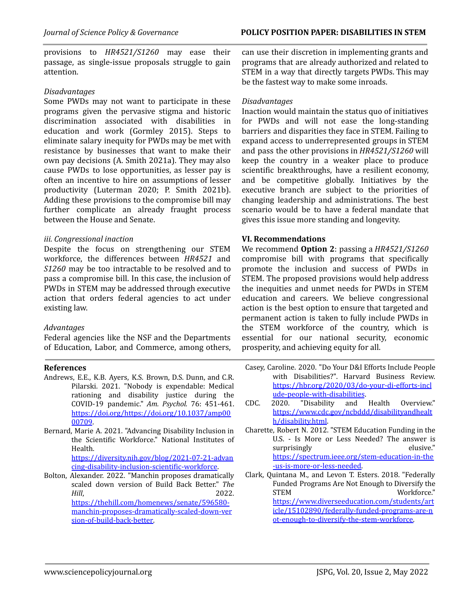provisions to *HR4521/S1260* may ease their passage, as single-issue proposals struggle to gain attention.

#### *Disadvantages*

Some PWDs may not want to participate in these programs given the pervasive stigma and historic discrimination associated with disabilities in education and work [\(Gormley](#page-7-16) 2015). Steps to eliminate salary inequity for PWDs may be met with resistance by businesses that want to make their own pay decisions (A. Smith [2021a\)](#page-8-16). They may also cause PWDs to lose opportunities, as lesser pay is often an incentive to hire on assumptions of lesser productivity [\(Luterman](#page-7-17) 2020; P. Smith [2021b](#page-8-17)). Adding these provisions to the compromise bill may further complicate an already fraught process between the House and Senate.

# *iii. Congressional inaction*

Despite the focus on strengthening our STEM workforce, the differences between *HR4521* and *S1260* may be too intractable to be resolved and to pass a compromise bill. In this case, the inclusion of PWDs in STEM may be addressed through executive action that orders federal agencies to act under existing law.

#### *Advantages*

Federal agencies like the NSF and the Departments of Education, Labor, and Commerce, among others,

#### **References**

- Andrews, E.E., K.B. Ayers, K.S. Brown, D.S. Dunn, and C.R. Pilarski. 2021. "Nobody is expendable: Medical rationing and disability justice during the COVID-19 pandemic." *Am. Psychol.* 76: 451-461. [https://doi.org/https://doi.org/10.1037/amp00](https://doi.org/https://doi.org/10.1037/amp0000709) [00709](https://doi.org/https://doi.org/10.1037/amp0000709).
- <span id="page-6-4"></span>Bernard, Marie A. 2021. "Advancing Disability Inclusion in the Scientific Workforce." National Institutes of Health.

[https://diversity.nih.gov/blog/2021-07-21-advan](https://diversity.nih.gov/blog/2021-07-21-advancing-disability-inclusion-scientific-workforce) [cing-disability-inclusion-scientific-workforce](https://diversity.nih.gov/blog/2021-07-21-advancing-disability-inclusion-scientific-workforce).

<span id="page-6-3"></span><span id="page-6-0"></span>Bolton, Alexander. 2022. "Manchin proposes dramatically scaled down version of Build Back Better." *The Hill*, 2022. [https://thehill.com/homenews/senate/596580](https://thehill.com/homenews/senate/596580-manchin-proposes-dramatically-scaled-down-version-of-build-back-better) [manchin-proposes-dramatically-scaled-down-ver](https://thehill.com/homenews/senate/596580-manchin-proposes-dramatically-scaled-down-version-of-build-back-better) [sion-of-build-back-better.](https://thehill.com/homenews/senate/596580-manchin-proposes-dramatically-scaled-down-version-of-build-back-better)

can use their discretion in implementing grants and programs that are already authorized and related to STEM in a way that directly targets PWDs. This may be the fastest way to make some inroads.

#### *Disadvantages*

Inaction would maintain the status quo of initiatives for PWDs and will not ease the long-standing barriers and disparities they face in STEM. Failing to expand access to underrepresented groups in STEM and pass the other provisions in *HR4521/S1260* will keep the country in a weaker place to produce scientific breakthroughs, have a resilient economy, and be competitive globally. Initiatives by the executive branch are subject to the priorities of changing leadership and administrations. The best scenario would be to have a federal mandate that gives this issue more standing and longevity.

#### **VI. Recommendations**

We recommend **Option 2**: passing a *HR4521/S1260* compromise bill with programs that specifically promote the inclusion and success of PWDs in STEM. The proposed provisions would help address the inequities and unmet needs for PWDs in STEM education and careers. We believe congressional action is the best option to ensure that targeted and permanent action is taken to fully include PWDs in the STEM workforce of the country, which is essential for our national security, economic prosperity, and achieving equity for all.

- Casey, Caroline. 2020. "Do Your D&I Efforts Include People with Disabilities?". Harvard Business Review. [https://hbr.org/2020/03/do-your-di-efforts-incl](https://hbr.org/2020/03/do-your-di-efforts-include-people-with-disabilities) [ude-people-with-disabilities](https://hbr.org/2020/03/do-your-di-efforts-include-people-with-disabilities).
- CDC. 2020. "Disability and Health Overview." [https://www.cdc.gov/ncbddd/disabilityandhealt](https://www.cdc.gov/ncbddd/disabilityandhealth/disability.html) [h/disability.html.](https://www.cdc.gov/ncbddd/disabilityandhealth/disability.html)
- <span id="page-6-1"></span>Charette, Robert N. 2012. "STEM Education Funding in the U.S. - Is More or Less Needed? The answer is surprisingly elusive." [https://spectrum.ieee.org/stem-education-in-the](https://spectrum.ieee.org/stem-education-in-the-us-is-more-or-less-needed) [-us-is-more-or-less-needed.](https://spectrum.ieee.org/stem-education-in-the-us-is-more-or-less-needed)

<span id="page-6-5"></span><span id="page-6-2"></span>Clark, Quintana M., and Levon T. Esters. 2018. "Federally Funded Programs Are Not Enough to Diversify the STEM Workforce." [https://www.diverseeducation.com/students/art](https://www.diverseeducation.com/students/article/15102890/federally-funded-programs-are-not-enough-to-diversify-the-stem-workforce) [icle/15102890/federally-funded-programs-are-n](https://www.diverseeducation.com/students/article/15102890/federally-funded-programs-are-not-enough-to-diversify-the-stem-workforce) [ot-enough-to-diversify-the-stem-workforce.](https://www.diverseeducation.com/students/article/15102890/federally-funded-programs-are-not-enough-to-diversify-the-stem-workforce)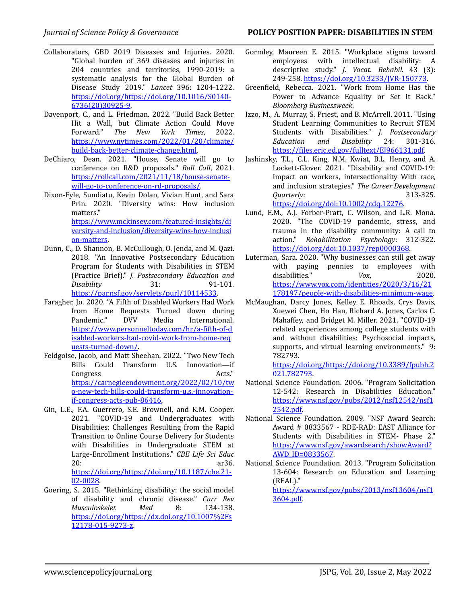- Collaborators, GBD 2019 Diseases and Injuries. 2020. "Global burden of 369 diseases and injuries in 204 countries and territories, 1990-2019: a systematic analysis for the Global Burden of Disease Study 2019." *Lancet* 396: 1204-1222. [https://doi.org/https://doi.org/10.1016/S0140-](https://doi.org/https://doi.org/10.1016/S0140-6736(20)30925-9) [6736\(20\)30925-9.](https://doi.org/https://doi.org/10.1016/S0140-6736(20)30925-9)
- Davenport, C., and L. Friedman. 2022. "Build Back Better Hit a Wall, but Climate Action Could Move<br>Forward." The New York Times. 2022. Forward." *The New York Times*, 2022. [https://www.nytimes.com/2022/01/20/climate/](https://www.nytimes.com/2022/01/20/climate/build-back-better-climate-change.html) [build-back-better-climate-change.html](https://www.nytimes.com/2022/01/20/climate/build-back-better-climate-change.html).
- <span id="page-7-7"></span>DeChiaro, Dean. 2021. "House, Senate will go to conference on R&D proposals." *Roll Call*, 2021. [https://rollcall.com/2021/11/18/house-senate](https://rollcall.com/2021/11/18/house-senate-will-go-to-conference-on-rd-proposals/)[will-go-to-conference-on-rd-proposals/](https://rollcall.com/2021/11/18/house-senate-will-go-to-conference-on-rd-proposals/).
- <span id="page-7-9"></span>Dixon-Fyle, Sundiatu, Kevin Dolan, Vivian Hunt, and Sara Prin. 2020. "Diversity wins: How inclusion matters." [https://www.mckinsey.com/featured-insights/di](https://www.mckinsey.com/featured-insights/diversity-and-inclusion/diversity-wins-how-inclusion-matters) [versity-and-inclusion/diversity-wins-how-inclusi](https://www.mckinsey.com/featured-insights/diversity-and-inclusion/diversity-wins-how-inclusion-matters) [on-matters.](https://www.mckinsey.com/featured-insights/diversity-and-inclusion/diversity-wins-how-inclusion-matters)
- <span id="page-7-15"></span>Dunn, C., D. Shannon, B. McCullough, O. Jenda, and M. Qazi. 2018. "An Innovative Postsecondary Education Program for Students with Disabilities in STEM (Practice Brief)." *J. Postsecondary Education and Disability* 31: 91-101. <https://par.nsf.gov/servlets/purl/10114533>.
- <span id="page-7-6"></span>Faragher, Jo. 2020. "A Fifth of Disabled Workers Had Work from Home Requests Turned down during<br>Pandemic." DVV Media International. Pandemic." DVV Media International. [https://www.personneltoday.com/hr/a-fifth-of-d](https://www.personneltoday.com/hr/a-fifth-of-disabled-workers-had-covid-work-from-home-requests-turned-down/) [isabled-workers-had-covid-work-from-home-req](https://www.personneltoday.com/hr/a-fifth-of-disabled-workers-had-covid-work-from-home-requests-turned-down/) [uests-turned-down/.](https://www.personneltoday.com/hr/a-fifth-of-disabled-workers-had-covid-work-from-home-requests-turned-down/)
- <span id="page-7-4"></span>Feldgoise, Jacob, and Matt Sheehan. 2022. "Two New Tech Bills Could Transform U.S. Innovation—if Congress Acts." [https://carnegieendowment.org/2022/02/10/tw](https://carnegieendowment.org/2022/02/10/two-new-tech-bills-could-transform-u.s.-innovation-if-congress-acts-pub-86416) [o-new-tech-bills-could-transform-u.s.-innovation](https://carnegieendowment.org/2022/02/10/two-new-tech-bills-could-transform-u.s.-innovation-if-congress-acts-pub-86416)[if-congress-acts-pub-86416.](https://carnegieendowment.org/2022/02/10/two-new-tech-bills-could-transform-u.s.-innovation-if-congress-acts-pub-86416)
- <span id="page-7-8"></span>Gin, L.E., F.A. Guerrero, S.E. Brownell, and K.M. Cooper. 2021. "COVID-19 and Undergraduates with Disabilities: Challenges Resulting from the Rapid Transition to Online Course Delivery for Students with Disabilities in Undergraduate STEM at Large-Enrollment Institutions." *CBE Life Sci Educ* 20: ar36. [https://doi.org/https://doi.org/10.1187/cbe.21-](https://doi.org/https://doi.org/10.1187/cbe.21-02-0028) [02-0028](https://doi.org/https://doi.org/10.1187/cbe.21-02-0028).
- <span id="page-7-16"></span><span id="page-7-0"></span>Goering, S. 2015. "Rethinking disability: the social model of disability and chronic disease." *Curr Rev Musculoskelet Med* 8: 134-138. [https://doi.org/https://dx.doi.org/10.1007%2Fs](https://doi.org/https://dx.doi.org/10.1007%2Fs12178-015-9273-z) [12178-015-9273-z.](https://doi.org/https://dx.doi.org/10.1007%2Fs12178-015-9273-z)
- Gormley, Maureen E. 2015. "Workplace stigma toward employees with intellectual disability: A descriptive study." *J. Vocat. Rehabil.* 43 (3): 249-258. [https://doi.org/10.3233/JVR-150773.](https://doi.org/10.3233/JVR-150773)
- Greenfield, Rebecca. 2021. "Work from Home Has the Power to Advance Equality or Set It Back." *Bloomberg Businessweek*.
- <span id="page-7-5"></span>Izzo, M., A. Murray, S. Priest, and B. McArrell. 2011. "Using Student Learning Communities to Recruit STEM Students with Disabilities." *J. Postsecondary Education and Disability* 24: 301-316. <https://files.eric.ed.gov/fulltext/EJ966131.pdf>.
- <span id="page-7-11"></span>Jashinsky, T.L., C.L. King, N.M. Kwiat, B.L. Henry, and A. Lockett-Glover. 2021. "Disability and COVID-19: Impact on workers, intersectionality With race, and inclusion strategies." *The Career Development Quarterly*: 313-325. [https://doi.org/doi:10.1002/cdq.12276.](https://doi.org/doi:10.1002/cdq.12276)
- <span id="page-7-2"></span>Lund, E.M., A.J. Forber-Pratt, C. Wilson, and L.R. Mona. 2020. "The COVID-19 pandemic, stress, and trauma in the disability community: A call to action." *Rehabilitation Psychology*: 312-322. [https://doi.org/doi:10.1037/rep0000368.](https://doi.org/doi:10.1037/rep0000368)
- <span id="page-7-3"></span>Luterman, Sara. 2020. "Why businesses can still get away with paying pennies to employees with disabilities." *Vox*, 2020. [https://www.vox.com/identities/2020/3/16/21](https://www.vox.com/identities/2020/3/16/21178197/people-with-disabilities-minimum-wage) [178197/people-with-disabilities-minimum-wage.](https://www.vox.com/identities/2020/3/16/21178197/people-with-disabilities-minimum-wage)
- <span id="page-7-17"></span>McMaughan, Darcy Jones, Kelley E. Rhoads, Crys Davis, Xuewei Chen, Ho Han, Richard A. Jones, Carlos C. Mahaffey, and Bridget M. Miller. 2021. "COVID-19 related experiences among college students with and without disabilities: Psychosocial impacts, supports, and virtual learning environments." 9: 782793.

[https://doi.org/https://doi.org/10.3389/fpubh.2](https://doi.org/https://doi.org/10.3389/fpubh.2021.782793) [021.782793](https://doi.org/https://doi.org/10.3389/fpubh.2021.782793).

- <span id="page-7-1"></span>National Science Foundation. 2006. "Program Solicitation 12-542: Research in Disabilities Education." [https://www.nsf.gov/pubs/2012/nsf12542/nsf1](https://www.nsf.gov/pubs/2012/nsf12542/nsf12542.pdf) [2542.pdf.](https://www.nsf.gov/pubs/2012/nsf12542/nsf12542.pdf)
- <span id="page-7-10"></span>National Science Foundation. 2009. "NSF Award Search: Award # 0833567 - RDE-RAD: EAST Alliance for Students with Disabilities in STEM- Phase 2." [https://www.nsf.gov/awardsearch/showAward?](https://www.nsf.gov/awardsearch/showAward?AWD_ID=0833567) [AWD\\_ID=0833567](https://www.nsf.gov/awardsearch/showAward?AWD_ID=0833567).
- <span id="page-7-12"></span>National Science Foundation. 2013. "Program Solicitation 13-604: Research on Education and Learning (REAL)." [https://www.nsf.gov/pubs/2013/nsf13604/nsf1](https://www.nsf.gov/pubs/2013/nsf13604/nsf13604.pdf)

<span id="page-7-14"></span><span id="page-7-13"></span>[3604.pdf.](https://www.nsf.gov/pubs/2013/nsf13604/nsf13604.pdf)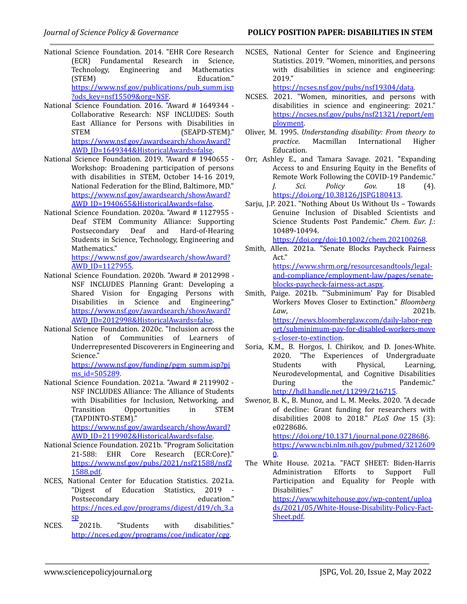- National Science Foundation. 2014. "EHR Core Research (ECR) Fundamental Research in Science, Technology, Engineering and Mathematics (STEM) Education." [https://www.nsf.gov/publications/pub\\_summ.jsp](https://www.nsf.gov/publications/pub_summ.jsp?ods_key=nsf15509&org=NSF) [?ods\\_key=nsf15509&org=NSF.](https://www.nsf.gov/publications/pub_summ.jsp?ods_key=nsf15509&org=NSF)
- National Science Foundation. 2016. "Award # 1649344 Collaborative Research: NSF INCLUDES: South East Alliance for Persons with Disabilities in STEM (SEAPD-STEM)." [https://www.nsf.gov/awardsearch/showAward?](https://www.nsf.gov/awardsearch/showAward?AWD_ID=1649344&HistoricalAwards=false) [AWD\\_ID=1649344&HistoricalAwards=false.](https://www.nsf.gov/awardsearch/showAward?AWD_ID=1649344&HistoricalAwards=false)
- <span id="page-8-14"></span>National Science Foundation. 2019. "Award # 1940655 - Workshop: Broadening participation of persons with disabilities in STEM, October 14-16 2019, National Federation for the Blind, Baltimore, MD." [https://www.nsf.gov/awardsearch/showAward?](https://www.nsf.gov/awardsearch/showAward?AWD_ID=1940655&HistoricalAwards=false) [AWD\\_ID=1940655&HistoricalAwards=false.](https://www.nsf.gov/awardsearch/showAward?AWD_ID=1940655&HistoricalAwards=false)
- <span id="page-8-12"></span>National Science Foundation. 2020a. "Award # 1127955 - Deaf STEM Community Alliance: Supporting<br>Postsecondary Deaf and Hard-of-Hearing Hard-of-Hearing Students in Science, Technology, Engineering and Mathematics."

[https://www.nsf.gov/awardsearch/showAward?](https://www.nsf.gov/awardsearch/showAward?AWD_ID=1127955) [AWD\\_ID=1127955](https://www.nsf.gov/awardsearch/showAward?AWD_ID=1127955).

- <span id="page-8-10"></span>National Science Foundation. 2020b. "Award # 2012998 - NSF INCLUDES Planning Grant: Developing a Shared Vision for Engaging Persons with Disabilities in Science and Engineering." [https://www.nsf.gov/awardsearch/showAward?](https://www.nsf.gov/awardsearch/showAward?AWD_ID=2012998&HistoricalAwards=false) [AWD\\_ID=2012998&HistoricalAwards=false.](https://www.nsf.gov/awardsearch/showAward?AWD_ID=2012998&HistoricalAwards=false)
- <span id="page-8-13"></span>National Science Foundation. 2020c. "Inclusion across the Nation of Communities of Learners of Underrepresented Discoverers in Engineering and Science."

[https://www.nsf.gov/funding/pgm\\_summ.jsp?pi](https://www.nsf.gov/funding/pgm_summ.jsp?pims_id=505289)  $\text{ms}$  id=505289.

<span id="page-8-11"></span>National Science Foundation. 2021a. "Award # 2119902 - NSF INCLUDES Alliance: The Alliance of Students with Disabilities for Inclusion, Networking, and Transition Opportunities in STEM (TAPDINTO-STEM)."

[https://www.nsf.gov/awardsearch/showAward?](https://www.nsf.gov/awardsearch/showAward?AWD_ID=2119902&HistoricalAwards=false) [AWD\\_ID=2119902&HistoricalAwards=false.](https://www.nsf.gov/awardsearch/showAward?AWD_ID=2119902&HistoricalAwards=false)

- <span id="page-8-15"></span>National Science Foundation. 2021b. "Program Solicitation 21-588: EHR Core Research (ECR:Core)." [https://www.nsf.gov/pubs/2021/nsf21588/nsf2](https://www.nsf.gov/pubs/2021/nsf21588/nsf21588.pdf) [1588.pdf.](https://www.nsf.gov/pubs/2021/nsf21588/nsf21588.pdf)
- NCES, National Center for Education Statistics. 2021a. "Digest of Education Statistics, 2019 Postsecondary education." [https://nces.ed.gov/programs/digest/d19/ch\\_3.a](https://nces.ed.gov/programs/digest/d19/ch_3.asp) [sp](https://nces.ed.gov/programs/digest/d19/ch_3.asp)
- <span id="page-8-4"></span><span id="page-8-2"></span><span id="page-8-1"></span>NCES. 2021b. "Students with disabilities." [http://nces.ed.gov/programs/coe/indicator/cgg](https://nces.ed.gov/programs/coe/indicator/cgg).

NCSES, National Center for Science and Engineering Statistics. 2019. "Women, minorities, and persons with disabilities in science and engineering: 2019."

[https://ncses.nsf.gov/pubs/nsf19304/data.](https://ncses.nsf.gov/pubs/nsf19304/data)

- NCSES. 2021. "Women, minorities, and persons with disabilities in science and engineering: 2021." [https://ncses.nsf.gov/pubs/nsf21321/report/em](https://ncses.nsf.gov/pubs/nsf21321/report/employment) [ployment](https://ncses.nsf.gov/pubs/nsf21321/report/employment).
- <span id="page-8-3"></span>Oliver, M. 1995. *Understanding disability: From theory to practice*. Macmillan International Higher Education.
- <span id="page-8-0"></span>Orr, Ashley E., and Tamara Savage. 2021. "Expanding Access to and Ensuring Equity in the Benefits of Remote Work Following the COVID-19 Pandemic." *J. Sci. Policy Gov.* 18 (4). [https://doi.org/10.38126/JSPG180413.](https://doi.org/10.38126/JSPG180413)
- <span id="page-8-8"></span>Sariu, J.P. 2021. "Nothing About Us Without Us - Towards Genuine Inclusion of Disabled Scientists and Science Students Post Pandemic." *Chem. Eur. J.*: 10489-10494. <https://doi.org/doi:10.1002/chem.202100268>.

<span id="page-8-7"></span>Smith, Allen. 2021a. "Senate Blocks Paycheck Fairness

Act." [https://www.shrm.org/resourcesandtools/legal](https://www.shrm.org/resourcesandtools/legal-and-compliance/employment-law/pages/senate-blocks-paycheck-fairness-act.aspx)[and-compliance/employment-law/pages/senate](https://www.shrm.org/resourcesandtools/legal-and-compliance/employment-law/pages/senate-blocks-paycheck-fairness-act.aspx)[blocks-paycheck-fairness-act.aspx](https://www.shrm.org/resourcesandtools/legal-and-compliance/employment-law/pages/senate-blocks-paycheck-fairness-act.aspx).

- <span id="page-8-16"></span>Smith, Paige. 2021b. "'Subminimum' Pay for Disabled Workers Moves Closer to Extinction." *Bloomberg Law*, 2021b. [https://news.bloomberglaw.com/daily-labor-rep](https://news.bloomberglaw.com/daily-labor-report/subminimum-pay-for-disabled-workers-moves-closer-to-extinction) [ort/subminimum-pay-for-disabled-workers-move](https://news.bloomberglaw.com/daily-labor-report/subminimum-pay-for-disabled-workers-moves-closer-to-extinction) [s-closer-to-extinction.](https://news.bloomberglaw.com/daily-labor-report/subminimum-pay-for-disabled-workers-moves-closer-to-extinction)
- <span id="page-8-17"></span>Soria, K.M., B. Horgos, I. Chirikov, and D. Jones-White. 2020. "The Experiences of Undergraduate Students with Physical, Learning, Neurodevelopmental, and Cognitive Disabilities During the Pandemic." <http://hdl.handle.net/11299/216715>.
- <span id="page-8-6"></span>Swenor, B. K., B. Munoz, and L. M. Meeks. 2020. "A decade of decline: Grant funding for researchers with disabilities 2008 to 2018." *PLoS One* 15 (3): e0228686. <https://doi.org/10.1371/journal.pone.0228686>. [https://www.ncbi.nlm.nih.gov/pubmed/3212609](https://www.ncbi.nlm.nih.gov/pubmed/32126090)  $\mathbf{0}$  $\mathbf{0}$  $\mathbf{0}$ .
- <span id="page-8-9"></span><span id="page-8-5"></span>The White House. 2021a. "FACT SHEET: Biden-Harris Administration Efforts to Support Full Participation and Equality for People with Disabilities." [https://www.whitehouse.gov/wp-content/uploa](https://www.whitehouse.gov/wp-content/uploads/2021/05/White-House-Disability-Policy-Fact-Sheet.pdf) [ds/2021/05/White-House-Disability-Policy-Fact-](https://www.whitehouse.gov/wp-content/uploads/2021/05/White-House-Disability-Policy-Fact-Sheet.pdf)[Sheet.pdf.](https://www.whitehouse.gov/wp-content/uploads/2021/05/White-House-Disability-Policy-Fact-Sheet.pdf)